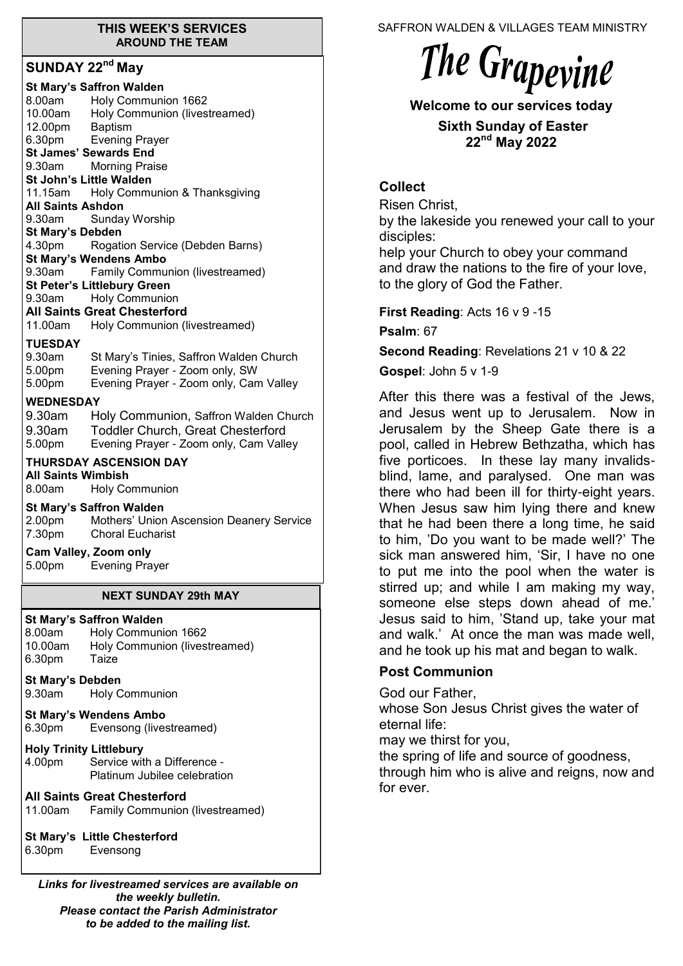#### **THIS WEEK'S SERVICES AROUND THE TEAM**

## **SUNDAY 22nd May**

|                                                                                       | <b>St Mary's Saffron Walden</b>    |                                              |  |
|---------------------------------------------------------------------------------------|------------------------------------|----------------------------------------------|--|
|                                                                                       | 8.00am                             | <b>Holy Communion 1662</b>                   |  |
|                                                                                       |                                    | 10.00am Holy Communion (livestreamed)        |  |
|                                                                                       |                                    | 12.00pm Baptism<br>6.30pm Evening Prayer     |  |
|                                                                                       |                                    |                                              |  |
|                                                                                       |                                    | <b>St James' Sewards End</b>                 |  |
|                                                                                       | 9.30am                             | <b>Morning Praise</b>                        |  |
|                                                                                       |                                    | St John's Little Walden                      |  |
|                                                                                       | 11.15am                            | Holy Communion & Thanksgiving                |  |
|                                                                                       | <b>All Saints Ashdon</b><br>9.30am |                                              |  |
|                                                                                       | <b>St Mary's Debden</b>            | Sunday Worship                               |  |
|                                                                                       | 4.30pm                             | Rogation Service (Debden Barns)              |  |
|                                                                                       |                                    | <b>St Mary's Wendens Ambo</b>                |  |
|                                                                                       | 9.30am                             | <b>Family Communion (livestreamed)</b>       |  |
|                                                                                       |                                    | <b>St Peter's Littlebury Green</b>           |  |
|                                                                                       | 9.30am                             | <b>Holy Communion</b>                        |  |
|                                                                                       |                                    | <b>All Saints Great Chesterford</b>          |  |
|                                                                                       | 11.00am                            | <b>Holy Communion (livestreamed)</b>         |  |
|                                                                                       | <b>TUESDAY</b>                     |                                              |  |
|                                                                                       | 9.30am                             | St Mary's Tinies, Saffron Walden Church      |  |
|                                                                                       | 5.00 <sub>pm</sub>                 | Evening Prayer - Zoom only, SW               |  |
|                                                                                       | 5.00pm                             | Evening Prayer - Zoom only, Cam Valley       |  |
|                                                                                       | <b>WEDNESDAY</b>                   |                                              |  |
|                                                                                       |                                    | 9.30am Holy Communion, Saffron Walden Church |  |
|                                                                                       | 9.30am                             | Toddler Church, Great Chesterford            |  |
|                                                                                       | 5.00pm                             | Evening Prayer - Zoom only, Cam Valley       |  |
|                                                                                       |                                    | THURSDAY ASCENSION DAY                       |  |
|                                                                                       | <b>All Saints Wimbish</b>          |                                              |  |
|                                                                                       | 8.00am                             | <b>Holy Communion</b>                        |  |
|                                                                                       |                                    |                                              |  |
| <b>St Mary's Saffron Walden</b><br>2.00pm<br>Mothers' Union Ascension Deanery Service |                                    |                                              |  |
|                                                                                       | 7.30pm                             | <b>Choral Eucharist</b>                      |  |
|                                                                                       |                                    |                                              |  |
|                                                                                       |                                    | Cam Valley, Zoom only                        |  |
|                                                                                       |                                    | 5.00pm Evening Prayer                        |  |
|                                                                                       |                                    | <b>NEXT SUNDAY 29th MAY</b>                  |  |
|                                                                                       |                                    | <b>St Mary's Saffron Walden</b>              |  |
|                                                                                       | 8.00am                             | <b>Holy Communion 1662</b>                   |  |
|                                                                                       |                                    | 10.00am — Holy Communion (livestreamed)      |  |

ommunion (livestreamed*)* 6.30pm Taize

**St Mary's Debden** 9.30am Holy Communion

## **St Mary's Wendens Ambo**

6.30pm Evensong (livestreamed)

**Holy Trinity Littlebury** 4.00pm Service with a Difference - Platinum Jubilee celebration

## **All Saints Great Chesterford**

11.00am Family Communion (livestreamed)

**St Mary's Little Chesterford** 6.30pm Evensong

*Links for livestreamed services are available on the weekly bulletin. Please contact the Parish Administrator to be added to the mailing list.*

SAFFRON WALDEN & VILLAGES TEAM MINISTRY

# The Grapevine

**Welcome to our services today** 

**Sixth Sunday of Easter 22nd May 2022**

## **Collect**

Risen Christ, by the lakeside you renewed your call to your disciples:

help your Church to obey your command and draw the nations to the fire of your love, to the glory of God the Father.

**First Reading**: Acts 16 v 9 -15

**Psalm**: 67

**Second Reading**: Revelations 21 v 10 & 22

**Gospel**: John 5 v 1-9

After this there was a festival of the Jews, and Jesus went up to Jerusalem. Now in Jerusalem by the Sheep Gate there is a pool, called in Hebrew Bethzatha, which has five porticoes. In these lay many invalidsblind, lame, and paralysed. One man was there who had been ill for thirty-eight years. When Jesus saw him lying there and knew that he had been there a long time, he said to him, 'Do you want to be made well?' The sick man answered him, 'Sir, I have no one to put me into the pool when the water is stirred up; and while I am making my way, someone else steps down ahead of me.' Jesus said to him, 'Stand up, take your mat and walk.' At once the man was made well, and he took up his mat and began to walk.

## **Post Communion**

God our Father, whose Son Jesus Christ gives the water of eternal life: may we thirst for you, the spring of life and source of goodness, through him who is alive and reigns, now and for ever.